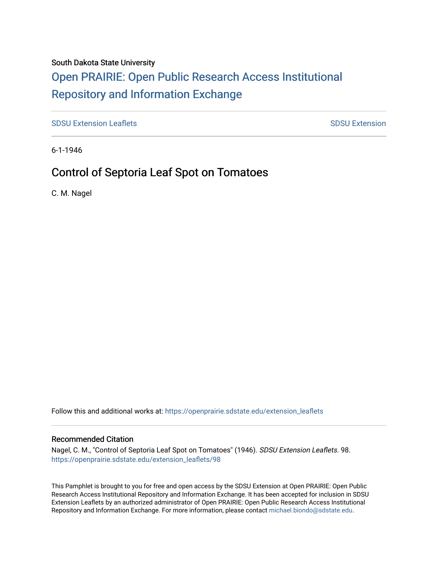### South Dakota State University

# [Open PRAIRIE: Open Public Research Access Institutional](https://openprairie.sdstate.edu/)  [Repository and Information Exchange](https://openprairie.sdstate.edu/)

[SDSU Extension Leaflets](https://openprairie.sdstate.edu/extension_leaflets) [SDSU Extension](https://openprairie.sdstate.edu/extension) Leaflets SDSU Extension

6-1-1946

### Control of Septoria Leaf Spot on Tomatoes

C. M. Nagel

Follow this and additional works at: [https://openprairie.sdstate.edu/extension\\_leaflets](https://openprairie.sdstate.edu/extension_leaflets?utm_source=openprairie.sdstate.edu%2Fextension_leaflets%2F98&utm_medium=PDF&utm_campaign=PDFCoverPages)

#### Recommended Citation

Nagel, C. M., "Control of Septoria Leaf Spot on Tomatoes" (1946). SDSU Extension Leaflets. 98. [https://openprairie.sdstate.edu/extension\\_leaflets/98](https://openprairie.sdstate.edu/extension_leaflets/98?utm_source=openprairie.sdstate.edu%2Fextension_leaflets%2F98&utm_medium=PDF&utm_campaign=PDFCoverPages) 

This Pamphlet is brought to you for free and open access by the SDSU Extension at Open PRAIRIE: Open Public Research Access Institutional Repository and Information Exchange. It has been accepted for inclusion in SDSU Extension Leaflets by an authorized administrator of Open PRAIRIE: Open Public Research Access Institutional Repository and Information Exchange. For more information, please contact [michael.biondo@sdstate.edu.](mailto:michael.biondo@sdstate.edu)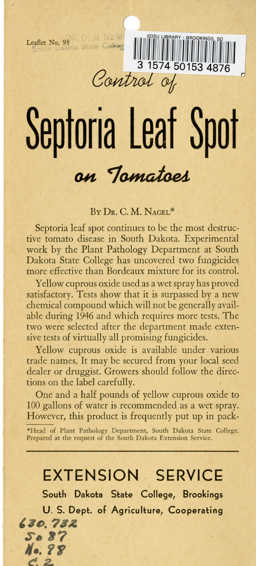**Leaflet No. 98 COLLET INC.** 

**Septoria leaf Spot**  on Tomatoes

Control of

I Ill 1111~1i111 ~1~~~~11111~11111~111]1 ~II <sup>11</sup> <sup>1111</sup> **3 1574 50153 4876** 

#### BY DR. C. M. NAGEL\*

Septoria leaf spot continues to be the most destructive tomato disease in South Dakota. Experimental work by the Plant Pathology Department at South Dakota State College has uncovered two fungicides more effective than Bordeaux mixture for its control.

Yellow cuprous oxide used as a wet spray has proved satisfactory. Tests show that it is surpassed by a new chemical compound which will not be generally available during 1946 and which requires more tests. The two were selected after the department made extensive tests of virtually all promising fungicides.

Yellow cuprous oxide is available under various trade names. It may be secured from your local seed dealer or druggist. Growers should follow the directions on the label carefully.

One and a half pounds of yellow cuprous oxide to 100 gallons of water is recommended as a wet spray. However, this product is frequently put up in pack-

\*Head of Plant Pathology Department, South Dakota State College. Prepared at the request of the South Dakota Extension Service.

## **EXTENSION . SERVICE**

**South Dakota State College, Brookings U . S. Dept. of Agriculture, Cooperating**  *,7o. '111. s.,* **87** 

**I/•.** *'IF*  $\sim$   $\sim$